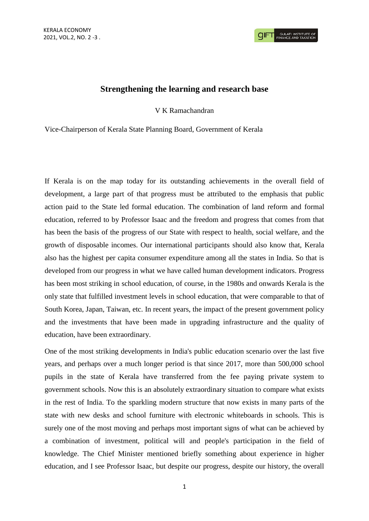## **Strengthening the learning and research base**

V K Ramachandran

Vice-Chairperson of Kerala State Planning Board, Government of Kerala

If Kerala is on the map today for its outstanding achievements in the overall field of development, a large part of that progress must be attributed to the emphasis that public action paid to the State led formal education. The combination of land reform and formal education, referred to by Professor Isaac and the freedom and progress that comes from that has been the basis of the progress of our State with respect to health, social welfare, and the growth of disposable incomes. Our international participants should also know that, Kerala also has the highest per capita consumer expenditure among all the states in India. So that is developed from our progress in what we have called human development indicators. Progress has been most striking in school education, of course, in the 1980s and onwards Kerala is the only state that fulfilled investment levels in school education, that were comparable to that of South Korea, Japan, Taiwan, etc. In recent years, the impact of the present government policy and the investments that have been made in upgrading infrastructure and the quality of education, have been extraordinary.

One of the most striking developments in India's public education scenario over the last five years, and perhaps over a much longer period is that since 2017, more than 500,000 school pupils in the state of Kerala have transferred from the fee paying private system to government schools. Now this is an absolutely extraordinary situation to compare what exists in the rest of India. To the sparkling modern structure that now exists in many parts of the state with new desks and school furniture with electronic whiteboards in schools. This is surely one of the most moving and perhaps most important signs of what can be achieved by a combination of investment, political will and people's participation in the field of knowledge. The Chief Minister mentioned briefly something about experience in higher education, and I see Professor Isaac, but despite our progress, despite our history, the overall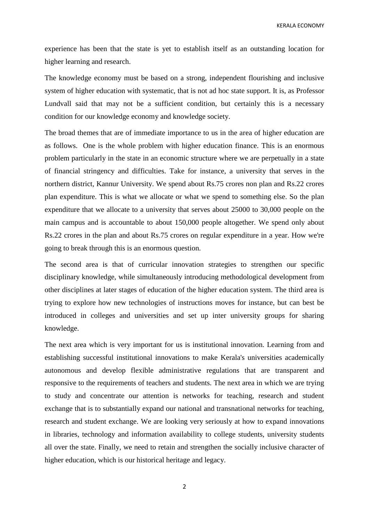KERALA ECONOMY

experience has been that the state is yet to establish itself as an outstanding location for higher learning and research.

The knowledge economy must be based on a strong, independent flourishing and inclusive system of higher education with systematic, that is not ad hoc state support. It is, as Professor Lundvall said that may not be a sufficient condition, but certainly this is a necessary condition for our knowledge economy and knowledge society.

The broad themes that are of immediate importance to us in the area of higher education are as follows. One is the whole problem with higher education finance. This is an enormous problem particularly in the state in an economic structure where we are perpetually in a state of financial stringency and difficulties. Take for instance, a university that serves in the northern district, Kannur University. We spend about Rs.75 crores non plan and Rs.22 crores plan expenditure. This is what we allocate or what we spend to something else. So the plan expenditure that we allocate to a university that serves about 25000 to 30,000 people on the main campus and is accountable to about 150,000 people altogether. We spend only about Rs.22 crores in the plan and about Rs.75 crores on regular expenditure in a year. How we're going to break through this is an enormous question.

The second area is that of curricular innovation strategies to strengthen our specific disciplinary knowledge, while simultaneously introducing methodological development from other disciplines at later stages of education of the higher education system. The third area is trying to explore how new technologies of instructions moves for instance, but can best be introduced in colleges and universities and set up inter university groups for sharing knowledge.

The next area which is very important for us is institutional innovation. Learning from and establishing successful institutional innovations to make Kerala's universities academically autonomous and develop flexible administrative regulations that are transparent and responsive to the requirements of teachers and students. The next area in which we are trying to study and concentrate our attention is networks for teaching, research and student exchange that is to substantially expand our national and transnational networks for teaching, research and student exchange. We are looking very seriously at how to expand innovations in libraries, technology and information availability to college students, university students all over the state. Finally, we need to retain and strengthen the socially inclusive character of higher education, which is our historical heritage and legacy.

2